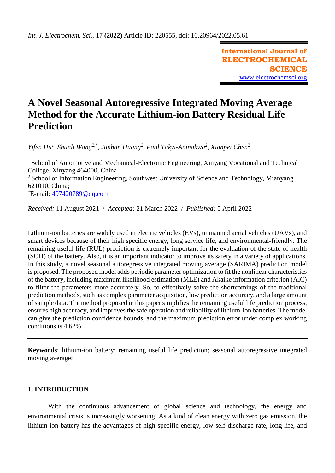**International Journal of ELECTROCHEMICAL SCIENCE** [www.electrochemsci.org](http://www.electrochemsci.org/)

# **A Novel Seasonal Autoregressive Integrated Moving Average Method for the Accurate Lithium-ion Battery Residual Life Prediction**

*Yifen Hu<sup>1</sup> , Shunli Wang2,\* , Junhan Huang<sup>2</sup> , Paul Takyi-Aninakwa<sup>2</sup> , Xianpei Chen<sup>2</sup>*

<sup>1</sup> School of Automotive and Mechanical-Electronic Engineering, Xinyang Vocational and Technical College, Xinyang 464000, China <sup>2</sup> School of Information Engineering, Southwest University of Science and Technology, Mianyang 621010, China; \*E-mail: [497420789@qq.com](mailto:497420789@qq.com)

*Received:* 11 August 2021/ *Accepted:* 21 March 2022 / *Published:* 5 April 2022

Lithium-ion batteries are widely used in electric vehicles (EVs), unmanned aerial vehicles (UAVs), and smart devices because of their high specific energy, long service life, and environmental-friendly. The remaining useful life (RUL) prediction is extremely important for the evaluation of the state of health (SOH) of the battery. Also, it is an important indicator to improve its safety in a variety of applications. In this study, a novel seasonal autoregressive integrated moving average (SARIMA) prediction model is proposed. The proposed model adds periodic parameter optimization to fit the nonlinear characteristics of the battery, including maximum likelihood estimation (MLE) and Akaike information criterion (AIC) to filter the parameters more accurately. So, to effectively solve the shortcomings of the traditional prediction methods, such as complex parameter acquisition, low prediction accuracy, and a large amount of sample data. The method proposed in this paper simplifies the remaining useful life prediction process, ensures high accuracy, and improves the safe operation and reliability of lithium-ion batteries. The model can give the prediction confidence bounds, and the maximum prediction error under complex working conditions is 4.62%.

**Keywords**: lithium-ion battery; remaining useful life prediction; seasonal autoregressive integrated moving average;

# **1. INTRODUCTION**

With the continuous advancement of global science and technology, the energy and environmental crisis is increasingly worsening. As a kind of clean energy with zero gas emission, the lithium-ion battery has the advantages of high specific energy, low self-discharge rate, long life, and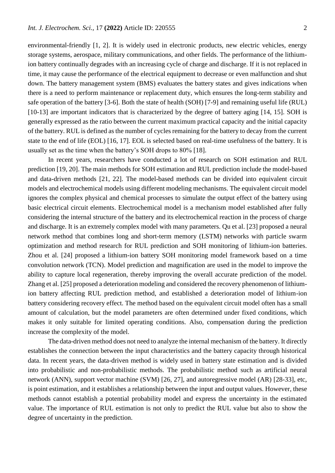environmental-friendly [1, 2]. It is widely used in electronic products, new electric vehicles, energy storage systems, aerospace, military communications, and other fields. The performance of the lithiumion battery continually degrades with an increasing cycle of charge and discharge. If it is not replaced in time, it may cause the performance of the electrical equipment to decrease or even malfunction and shut down. The battery management system (BMS) evaluates the battery states and gives indications when there is a need to perform maintenance or replacement duty, which ensures the long-term stability and safe operation of the battery [3-6]. Both the state of health (SOH) [7-9] and remaining useful life (RUL) [10-13] are important indicators that is characterized by the degree of battery aging [14, 15]. SOH is generally expressed as the ratio between the current maximum practical capacity and the initial capacity of the battery. RUL is defined as the number of cycles remaining for the battery to decay from the current state to the end of life (EOL) [16, 17]. EOL is selected based on real-time usefulness of the battery. It is usually set as the time when the battery's SOH drops to 80% [18].

In recent years, researchers have conducted a lot of research on SOH estimation and RUL prediction [19, 20]. The main methods for SOH estimation and RUL prediction include the model-based and data-driven methods [21, 22]. The model-based methods can be divided into equivalent circuit models and electrochemical models using different modeling mechanisms. The equivalent circuit model ignores the complex physical and chemical processes to simulate the output effect of the battery using basic electrical circuit elements. Electrochemical model is a mechanism model established after fully considering the internal structure of the battery and its electrochemical reaction in the process of charge and discharge. It is an extremely complex model with many parameters. Qu et al. [23] proposed a neural network method that combines long and short-term memory (LSTM) networks with particle swarm optimization and method research for RUL prediction and SOH monitoring of lithium-ion batteries. Zhou et al. [24] proposed a lithium-ion battery SOH monitoring model framework based on a time convolution network (TCN). Model prediction and magnification are used in the model to improve the ability to capture local regeneration, thereby improving the overall accurate prediction of the model. Zhang et al. [25] proposed a deterioration modeling and considered the recovery phenomenon of lithiumion battery affecting RUL prediction method, and established a deterioration model of lithium-ion battery considering recovery effect. The method based on the equivalent circuit model often has a small amount of calculation, but the model parameters are often determined under fixed conditions, which makes it only suitable for limited operating conditions. Also, compensation during the prediction increase the complexity of the model.

The data-driven method does not need to analyze the internal mechanism of the battery. It directly establishes the connection between the input characteristics and the battery capacity through historical data. In recent years, the data-driven method is widely used in battery state estimation and is divided into probabilistic and non-probabilistic methods. The probabilistic method such as artificial neural network (ANN), support vector machine (SVM) [26, 27], and autoregressive model (AR) [28-33], etc, is point estimation, and it establishes a relationship between the input and output values. However, these methods cannot establish a potential probability model and express the uncertainty in the estimated value. The importance of RUL estimation is not only to predict the RUL value but also to show the degree of uncertainty in the prediction.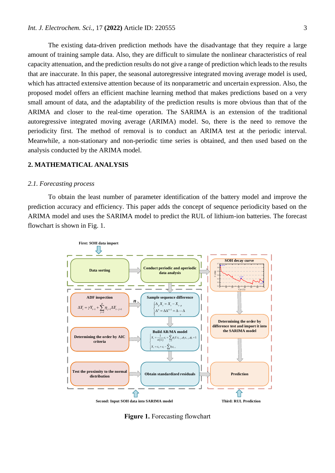The existing data-driven prediction methods have the disadvantage that they require a large amount of training sample data. Also, they are difficult to simulate the nonlinear characteristics of real capacity attenuation, and the prediction results do not give a range of prediction which leads to the results that are inaccurate. In this paper, the seasonal autoregressive integrated moving average model is used, which has attracted extensive attention because of its nonparametric and uncertain expression. Also, the proposed model offers an efficient machine learning method that makes predictions based on a very small amount of data, and the adaptability of the prediction results is more obvious than that of the ARIMA and closer to the real-time operation. The SARIMA is an extension of the traditional autoregressive integrated moving average (ARIMA) model. So, there is the need to remove the periodicity first. The method of removal is to conduct an ARIMA test at the periodic interval. Meanwhile, a non-stationary and non-periodic time series is obtained, and then used based on the analysis conducted by the ARIMA model.

# **2. MATHEMATICAL ANALYSIS**

#### *2.1. Forecasting process*

To obtain the least number of parameter identification of the battery model and improve the prediction accuracy and efficiency. This paper adds the concept of sequence periodicity based on the ARIMA model and uses the SARIMA model to predict the RUL of lithium-ion batteries. The forecast flowchart is shown in Fig. 1.



**Figure 1.** Forecasting flowchart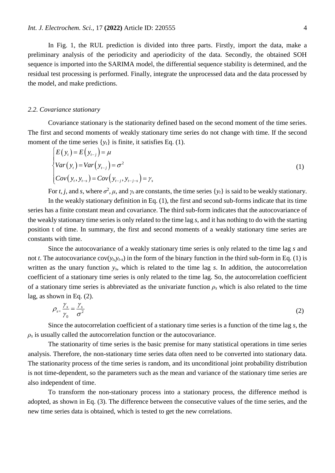In Fig. 1, the RUL prediction is divided into three parts. Firstly, import the data, make a preliminary analysis of the periodicity and aperiodicity of the data. Secondly, the obtained SOH sequence is imported into the SARIMA model, the differential sequence stability is determined, and the residual test processing is performed. Finally, integrate the unprocessed data and the data processed by the model, and make predictions.

## *2.2. Covariance stationary*

Covariance stationary is the stationarity defined based on the second moment of the time series. The first and second moments of weakly stationary time series do not change with time. If the second moment of the time series  $\{y_t\}$  is finite, it satisfies Eq. (1).

$$
\begin{cases}\nE(y_t) = E(y_{t-j}) = \mu \\
Var(y_t) = Var(y_{t-j}) = \sigma^2 \\
Cov(y_t, y_{t-s}) = Cov(y_{t-j}, y_{t-j-s}) = \gamma_s\n\end{cases}
$$
\n(1)

For *t*, *j*, and *s*, where  $\sigma^2$ ,  $\mu$ , and  $\gamma$  are constants, the time series {*y<sub>t</sub>*} is said to be weakly stationary.

In the weakly stationary definition in Eq. (1), the first and second sub-forms indicate that its time series has a finite constant mean and covariance. The third sub-form indicates that the autocovariance of the weakly stationary time series is only related to the time lag *s*, and it has nothing to do with the starting position t of time. In summary, the first and second moments of a weakly stationary time series are constants with time.

Since the autocovariance of a weakly stationary time series is only related to the time lag *s* and not *t*. The autocovariance cov( $y_t$ , $y_t$ <sub>s</sub>) in the form of the binary function in the third sub-form in Eq. (1) is written as the unary function *ys*, which is related to the time lag *s*. In addition, the autocorrelation coefficient of a stationary time series is only related to the time lag. So, the autocorrelation coefficient of a stationary time series is abbreviated as the univariate function  $\rho_s$  which is also related to the time lag, as shown in Eq. (2).

$$
\rho_{s=\frac{\gamma_s}{\gamma_0}} = \frac{\gamma_s}{\sigma^2} \tag{2}
$$

Since the autocorrelation coefficient of a stationary time series is a function of the time lag *s*, the  $\rho_s$  is usually called the autocorrelation function or the autocovariance.

The stationarity of time series is the basic premise for many statistical operations in time series analysis. Therefore, the non-stationary time series data often need to be converted into stationary data. The stationarity process of the time series is random, and its unconditional joint probability distribution is not time-dependent, so the parameters such as the mean and variance of the stationary time series are also independent of time.

To transform the non-stationary process into a stationary process, the difference method is adopted, as shown in Eq. (3). The difference between the consecutive values of the time series, and the new time series data is obtained, which is tested to get the new correlations.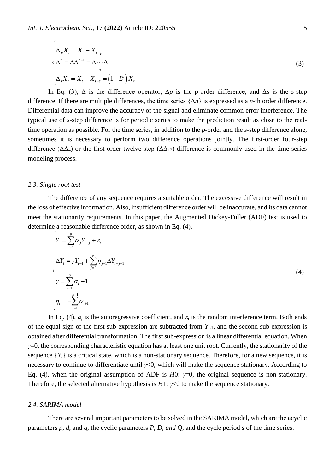$$
\begin{cases}\n\Delta_p X_t = X_t - X_{t-p} \\
\Delta^n = \Delta \Delta^{n-1} = \Delta \cdots \Delta \\
n \\
\Delta_s X_t = X_t - X_{t-s} = (1 - L^s) X_t\n\end{cases}
$$
\n(3)

In Eq. (3),  $\Delta$  is the difference operator,  $\Delta p$  is the p-order difference, and  $\Delta s$  is the *s*-step difference. If there are multiple differences, the time series {Δ*n*} is expressed as a *n*-th order difference. Differential data can improve the accuracy of the signal and eliminate common error interference. The typical use of *s*-step difference is for periodic series to make the prediction result as close to the realtime operation as possible. For the time series, in addition to the *p*-order and the *s*-step difference alone, sometimes it is necessary to perform two difference operations jointly. The first-order four-step difference ( $\Delta\Delta_4$ ) or the first-order twelve-step ( $\Delta\Delta_{12}$ ) difference is commonly used in the time series modeling process.

#### *2.3. Single root test*

 $\overline{C}$ 

The difference of any sequence requires a suitable order. The excessive difference will result in the loss of effective information. Also, insufficient difference order will be inaccurate, and its data cannot meet the stationarity requirements. In this paper, the Augmented Dickey-Fuller (ADF) test is used to determine a reasonable difference order, as shown in Eq. (4).

$$
\begin{cases}\nY_{t} = \sum_{j=1}^{p} \alpha_{j} Y_{t-j} + \varepsilon_{t} \\
\Delta Y_{t} = \gamma Y_{t-1} + \sum_{j=2}^{p} \eta_{j-1} \Delta Y_{t-j+1} \\
\gamma = \sum_{i=1}^{p} \alpha_{i} - 1 \\
\eta_{i} = -\sum_{i=1}^{p-1} \alpha_{i+1}\n\end{cases} (4)
$$

In Eq. (4),  $\alpha_i$  is the autoregressive coefficient, and  $\varepsilon_t$  is the random interference term. Both ends of the equal sign of the first sub-expression are subtracted from  $Y_{t-1}$ , and the second sub-expression is obtained after differential transformation. The first sub-expression is a linear differential equation. When *γ*=0, the corresponding characteristic equation has at least one unit root. Currently, the stationarity of the sequence  ${Y_t}$  is a critical state, which is a non-stationary sequence. Therefore, for a new sequence, it is necessary to continue to differentiate until *γ*<0, which will make the sequence stationary. According to Eq. (4), when the original assumption of ADF is *H*0: *γ*=0, the original sequence is non-stationary. Therefore, the selected alternative hypothesis is *H*1: *γ*<0 to make the sequence stationary.

## *2.4. SARIMA model*

There are several important parameters to be solved in the SARIMA model, which are the acyclic parameters *p*, *d*, and *q,* the cyclic parameters *P*, *D*, *and Q*, and the cycle period *s* of the time series.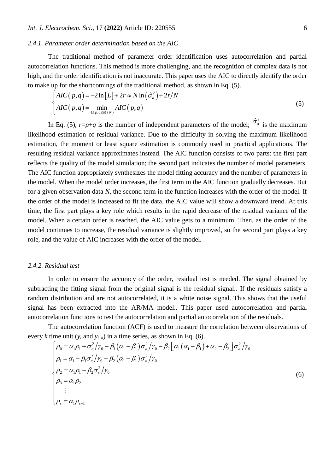# *2.4.1. Parameter order determination based on the AIC*

The traditional method of parameter order identification uses autocorrelation and partial autocorrelation functions. This method is more challenging, and the recognition of complex data is not high, and the order identification is not inaccurate. This paper uses the AIC to directly identify the order to make up for the shortcomings of the traditional method, as shown in Eq. (5).

$$
\begin{cases}\nAIC(p,q) = -2\ln[L] + 2r \approx N\ln(\hat{\sigma}_a^2) + 2r/N \\
AIC(p,q) = \min_{1 \le p,q \le M(N)} AIC(p,q)\n\end{cases}
$$
\n(5)

In Eq. (5),  $r=p+q$  is the number of independent parameters of the model;  $\hat{\sigma}_a^2$  is the maximum likelihood estimation of residual variance. Due to the difficulty in solving the maximum likelihood estimation, the moment or least square estimation is commonly used in practical applications. The resulting residual variance approximates instead. The AIC function consists of two parts: the first part reflects the quality of the model simulation; the second part indicates the number of model parameters. The AIC function appropriately synthesizes the model fitting accuracy and the number of parameters in the model. When the model order increases, the first term in the AIC function gradually decreases. But for a given observation data *N*, the second term in the function increases with the order of the model. If the order of the model is increased to fit the data, the AIC value will show a downward trend. At this time, the first part plays a key role which results in the rapid decrease of the residual variance of the model. When a certain order is reached, the AIC value gets to a minimum. Then, as the order of the model continues to increase, the residual variance is slightly improved, so the second part plays a key role, and the value of AIC increases with the order of the model.

#### *2.4.2. Residual test*

In order to ensure the accuracy of the order, residual test is needed. The signal obtained by subtracting the fitting signal from the original signal is the residual signal.. If the residuals satisfy a random distribution and are not autocorrelated, it is a white noise signal. This shows that the useful signal has been extracted into the AR/MA model.. This paper used autocorrelation and partial autocorrelation functions to test the autocorrelation and partial autocorrelation of the residuals.

The autocorrelation function (ACF) is used to measure the correlation between observations of every *k* time unit ( $y_t$  and  $y_{t-k}$ ) in a time series, as shown in Eq. (6).

$$
\begin{cases}\n\rho_0 = \alpha_1 \rho_1 + \sigma_\varepsilon^2 / \gamma_0 - \beta_1 (\alpha_1 - \beta_1) \sigma_\varepsilon^2 / \gamma_0 - \beta_2 \Big[ \alpha_1 (\alpha_1 - \beta_1) + \alpha_2 - \beta_2 \Big] \sigma_\varepsilon^2 / \gamma_0 \\
\rho_1 = \alpha_1 - \beta_1 \sigma_\varepsilon^2 / \gamma_0 - \beta_2 (\alpha_1 - \beta_1) \sigma_\varepsilon^2 / \gamma_0 \\
\rho_2 = \alpha_1 \rho_1 - \beta_2 \sigma_\varepsilon^2 / \gamma_0 \\
\rho_3 = \alpha_1 \rho_2 \\
\vdots \\
\rho_s = \alpha_1 \rho_{s-1}\n\end{cases} \tag{6}
$$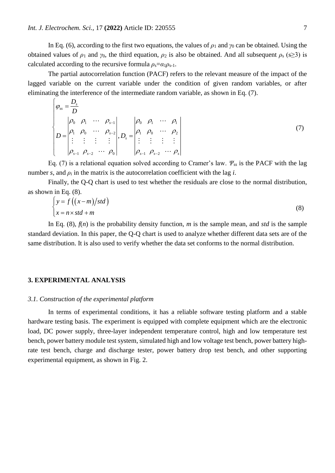In Eq. (6), according to the first two equations, the values of  $\rho_1$  and  $\gamma_0$  can be obtained. Using the obtained values of  $\rho_1$  and  $\gamma_0$ , the third equation,  $\rho_2$  is also be obtained. And all subsequent  $\rho_s$  (s>3) is calculated according to the recursive formula  $\rho_s = \alpha_1 \rho_{s-1}$ .

The partial autocorrelation function (PACF) refers to the relevant measure of the impact of the lagged variable on the current variable under the condition of given random variables, or after eliminating the interference of the intermediate random variable, as shown in Eq. (7).

$$
\begin{cases}\n\varphi_{ss} = \frac{D_s}{D} \\
\beta_0 \quad \rho_1 \quad \cdots \quad \rho_{s-1} \\
D = \begin{vmatrix}\n\rho_0 & \rho_1 & \cdots & \rho_{s-2} \\
\rho_1 & \rho_0 & \cdots & \rho_{s-2} \\
\vdots & \vdots & \vdots & \vdots \\
\rho_{s-1} & \rho_{s-2} & \cdots & \rho_0\n\end{vmatrix}, D_s = \begin{vmatrix}\n\rho_0 & \rho_1 & \cdots & \rho_1 \\
\rho_1 & \rho_0 & \cdots & \rho_2 \\
\vdots & \vdots & \vdots & \vdots \\
\rho_{s-1} & \rho_{s-2} & \cdots & \rho_s\n\end{vmatrix}
$$
\n(7)

Eq. (7) is a relational equation solved according to Cramer's law. *Ψss* is the PACF with the lag number *s*, and  $\rho_i$  in the matrix is the autocorrelation coefficient with the lag *i*.

Finally, the Q-Q chart is used to test whether the residuals are close to the normal distribution, as shown in Eq. (8).

$$
\begin{cases}\ny = f\left((x-m)/std\right) \\
x = n \times std + m\end{cases} \tag{8}
$$

In Eq. (8),  $f(n)$  is the probability density function, *m* is the sample mean, and *std* is the sample standard deviation. In this paper, the Q-Q chart is used to analyze whether different data sets are of the same distribution. It is also used to verify whether the data set conforms to the normal distribution.

#### **3. EXPERIMENTAL ANALYSIS**

#### *3.1. Construction of the experimental platform*

In terms of experimental conditions, it has a reliable software testing platform and a stable hardware testing basis. The experiment is equipped with complete equipment which are the electronic load, DC power supply, three-layer independent temperature control, high and low temperature test bench, power battery module test system, simulated high and low voltage test bench, power battery highrate test bench, charge and discharge tester, power battery drop test bench, and other supporting experimental equipment, as shown in Fig. 2.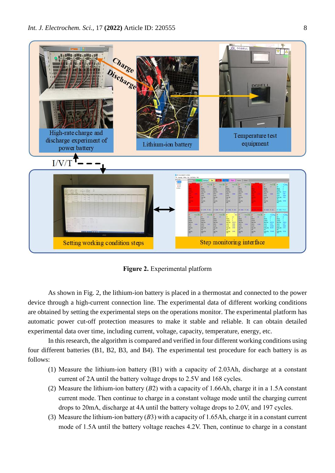

**Figure 2.** Experimental platform

As shown in Fig. 2, the lithium-ion battery is placed in a thermostat and connected to the power device through a high-current connection line. The experimental data of different working conditions are obtained by setting the experimental steps on the operations monitor. The experimental platform has automatic power cut-off protection measures to make it stable and reliable. It can obtain detailed experimental data over time, including current, voltage, capacity, temperature, energy, etc.

In this research, the algorithm is compared and verified in four different working conditions using four different batteries (B1, B2, B3, and B4). The experimental test procedure for each battery is as follows:

- (1) Measure the lithium-ion battery (B1) with a capacity of 2.03Ah, discharge at a constant current of 2A until the battery voltage drops to 2.5V and 168 cycles.
- (2) Measure the lithium-ion battery (*B*2) with a capacity of 1.66Ah, charge it in a 1.5A constant current mode. Then continue to charge in a constant voltage mode until the charging current drops to 20mA, discharge at 4A until the battery voltage drops to 2.0V, and 197 cycles.
- (3) Measure the lithium-ion battery (*B*3) with a capacity of 1.65Ah, charge it in a constant current mode of 1.5A until the battery voltage reaches 4.2V. Then, continue to charge in a constant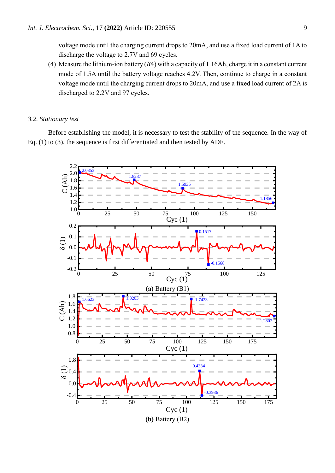voltage mode until the charging current drops to 20mA, and use a fixed load current of 1A to discharge the voltage to 2.7V and 69 cycles.

(4) Measure the lithium-ion battery (*B*4) with a capacity of 1.16Ah, charge it in a constant current mode of 1.5A until the battery voltage reaches 4.2V. Then, continue to charge in a constant voltage mode until the charging current drops to 20mA, and use a fixed load current of 2A is discharged to 2.2V and 97 cycles.

#### *3.2. Stationary test*

Before establishing the model, it is necessary to test the stability of the sequence. In the way of Eq. (1) to (3), the sequence is first differentiated and then tested by ADF.

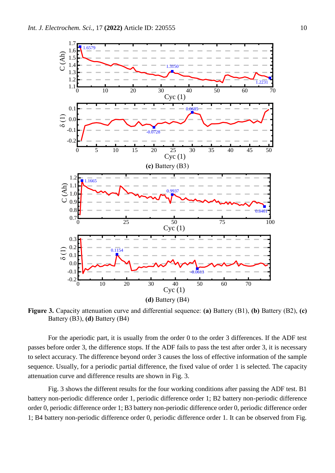

**Figure 3.** Capacity attenuation curve and differential sequence: **(a)** Battery (B1), **(b)** Battery (B2), **(c)** Battery (B3), **(d)** Battery (B4)

For the aperiodic part, it is usually from the order 0 to the order 3 differences. If the ADF test passes before order 3, the difference stops. If the ADF fails to pass the test after order 3, it is necessary to select accuracy. The difference beyond order 3 causes the loss of effective information of the sample sequence. Usually, for a periodic partial difference, the fixed value of order 1 is selected. The capacity attenuation curve and difference results are shown in Fig. 3.

Fig. 3 shows the different results for the four working conditions after passing the ADF test. B1 battery non-periodic difference order 1, periodic difference order 1; B2 battery non-periodic difference order 0, periodic difference order 1; B3 battery non-periodic difference order 0, periodic difference order 1; B4 battery non-periodic difference order 0, periodic difference order 1. It can be observed from Fig.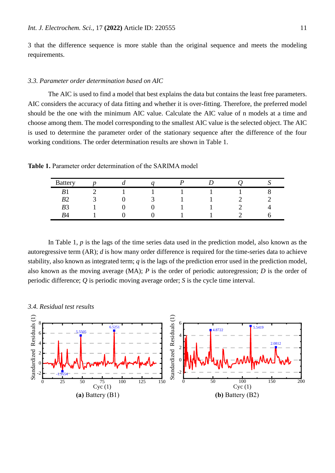3 that the difference sequence is more stable than the original sequence and meets the modeling requirements.

### *3.3. Parameter order determination based on AIC*

The AIC is used to find a model that best explains the data but contains the least free parameters. AIC considers the accuracy of data fitting and whether it is over-fitting. Therefore, the preferred model should be the one with the minimum AIC value. Calculate the AIC value of n models at a time and choose among them. The model corresponding to the smallest AIC value is the selected object. The AIC is used to determine the parameter order of the stationary sequence after the difference of the four working conditions. The order determination results are shown in Table 1.

**Table 1.** Parameter order determination of the SARIMA model

| <b>Battery</b> |   | u |  |  |
|----------------|---|---|--|--|
| $\mathbf{r}$   | ⌒ |   |  |  |
| n٨             |   |   |  |  |
| B <sub>3</sub> |   |   |  |  |
| D 1<br>54      |   |   |  |  |

In Table 1, *p* is the lags of the time series data used in the prediction model, also known as the autoregressive term (AR); *d* is how many order difference is required for the time-series data to achieve stability, also known as integrated term;  $q$  is the lags of the prediction error used in the prediction model, also known as the moving average (MA); *P* is the order of periodic autoregression; *D* is the order of periodic difference; *Q* is periodic moving average order; *S* is the cycle time interval.

*3.4. Residual test results*

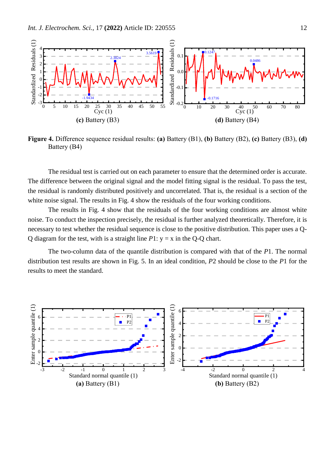

**Figure 4.** Difference sequence residual results: **(a)** Battery (B1), **(b)** Battery (B2), **(c)** Battery (B3), **(d)** Battery (B4)

The residual test is carried out on each parameter to ensure that the determined order is accurate. The difference between the original signal and the model fitting signal is the residual. To pass the test, the residual is randomly distributed positively and uncorrelated. That is, the residual is a section of the white noise signal. The results in Fig. 4 show the residuals of the four working conditions.

The results in Fig. 4 show that the residuals of the four working conditions are almost white noise. To conduct the inspection precisely, the residual is further analyzed theoretically. Therefore, it is necessary to test whether the residual sequence is close to the positive distribution. This paper uses a Q-Q diagram for the test, with is a straight line  $P1: y = x$  in the Q-Q chart.

The two-column data of the quantile distribution is compared with that of the *P*1. The normal distribution test results are shown in Fig. 5. In an ideal condition, *P*2 should be close to the *P*1 for the results to meet the standard.

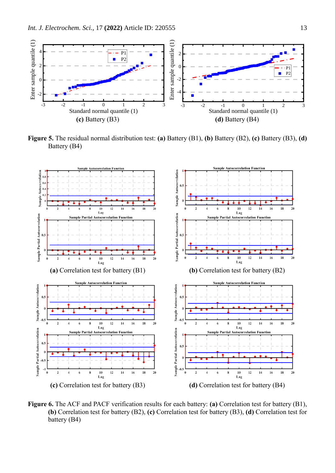

**Figure 5.** The residual normal distribution test: **(a)** Battery (B1), **(b)** Battery (B2), **(c)** Battery (B3), **(d)** Battery (B4)



**Figure 6.** The ACF and PACF verification results for each battery: **(a)** Correlation test for battery (B1), **(b)** Correlation test for battery (B2), **(c)** Correlation test for battery (B3), **(d)** Correlation test for battery (B4)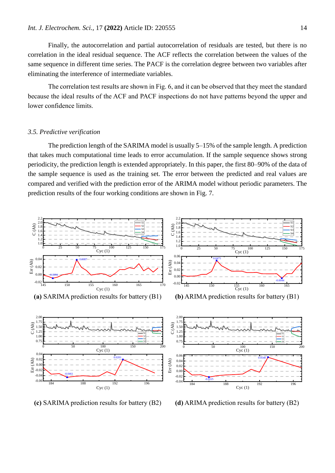Finally, the autocorrelation and partial autocorrelation of residuals are tested, but there is no correlation in the ideal residual sequence. The ACF reflects the correlation between the values of the same sequence in different time series. The PACF is the correlation degree between two variables after eliminating the interference of intermediate variables.

The correlation test results are shown in Fig. 6, and it can be observed that they meet the standard because the ideal results of the ACF and PACF inspections do not have patterns beyond the upper and lower confidence limits.

#### *3.5. Predictive verification*

The prediction length of the SARIMA model is usually 5–15% of the sample length. A prediction that takes much computational time leads to error accumulation. If the sample sequence shows strong periodicity, the prediction length is extended appropriately. In this paper, the first 80–90% of the data of the sample sequence is used as the training set. The error between the predicted and real values are compared and verified with the prediction error of the ARIMA model without periodic parameters. The prediction results of the four working conditions are shown in Fig. 7.



**(c)** SARIMA prediction results for battery (B2) **(d)** ARIMA prediction results for battery (B2)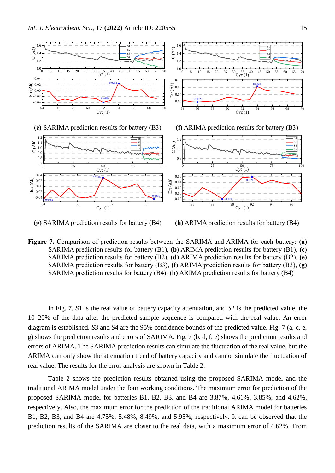

**(g)** SARIMA prediction results for battery (B4) **(h)** ARIMA prediction results for battery (B4)

**Figure 7.** Comparison of prediction results between the SARIMA and ARIMA for each battery: **(a)** SARIMA prediction results for battery (B1), **(b)** ARIMA prediction results for battery (B1), **(c)** SARIMA prediction results for battery (B2), **(d)** ARIMA prediction results for battery (B2), **(e)** SARIMA prediction results for battery (B3), **(f)** ARIMA prediction results for battery (B3), **(g)** SARIMA prediction results for battery (B4), **(h)** ARIMA prediction results for battery (B4)

In Fig. 7, *S*1 is the real value of battery capacity attenuation, and *S*2 is the predicted value, the 10–20% of the data after the predicted sample sequence is compared with the real value. An error diagram is established, *S*3 and *S*4 are the 95% confidence bounds of the predicted value. Fig. 7 (a, c, e, g) shows the prediction results and errors of SARIMA. Fig. 7 (b, d, f, e) shows the prediction results and errors of ARIMA. The SARIMA prediction results can simulate the fluctuation of the real value, but the ARIMA can only show the attenuation trend of battery capacity and cannot simulate the fluctuation of real value. The results for the error analysis are shown in Table 2.

Table 2 shows the prediction results obtained using the proposed SARIMA model and the traditional ARIMA model under the four working conditions. The maximum error for prediction of the proposed SARIMA model for batteries B1, B2, B3, and B4 are 3.87%, 4.61%, 3.85%, and 4.62%, respectively. Also, the maximum error for the prediction of the traditional ARIMA model for batteries B1, B2, B3, and B4 are 4.75%, 5.48%, 8.49%, and 5.95%, respectively. It can be observed that the prediction results of the SARIMA are closer to the real data, with a maximum error of 4.62%. From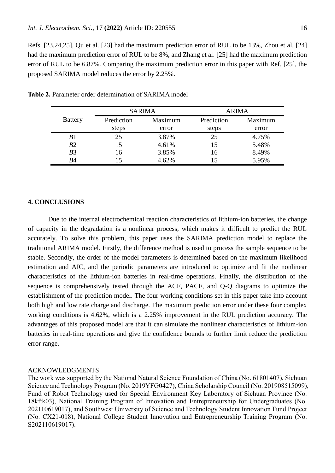Refs. [23,24,25], Qu et al. [23] had the maximum prediction error of RUL to be 13%, Zhou et al. [24] had the maximum prediction error of RUL to be 8%, and Zhang et al. [25] had the maximum prediction error of RUL to be 6.87%. Comparing the maximum prediction error in this paper with Ref. [25], the proposed SARIMA model reduces the error by 2.25%.

|                |            | <b>SARIMA</b> | ARIMA      |         |  |
|----------------|------------|---------------|------------|---------|--|
| <b>Battery</b> | Prediction | Maximum       | Prediction | Maximum |  |
|                | steps      | error         | steps      | error   |  |
| B1             | 25         | 3.87%         | 25         | 4.75%   |  |
| B2             | 15         | 4.61%         | 15         | 5.48%   |  |
| B <sub>3</sub> | 16         | 3.85%         | 16         | 8.49%   |  |
| Β4             |            | 4.62%         |            | 5.95%   |  |

**Table 2.** Parameter order determination of SARIMA model

## **4. CONCLUSIONS**

Due to the internal electrochemical reaction characteristics of lithium-ion batteries, the change of capacity in the degradation is a nonlinear process, which makes it difficult to predict the RUL accurately. To solve this problem, this paper uses the SARIMA prediction model to replace the traditional ARIMA model. Firstly, the difference method is used to process the sample sequence to be stable. Secondly, the order of the model parameters is determined based on the maximum likelihood estimation and AIC, and the periodic parameters are introduced to optimize and fit the nonlinear characteristics of the lithium-ion batteries in real-time operations. Finally, the distribution of the sequence is comprehensively tested through the ACF, PACF, and Q-Q diagrams to optimize the establishment of the prediction model. The four working conditions set in this paper take into account both high and low rate charge and discharge. The maximum prediction error under these four complex working conditions is 4.62%, which is a 2.25% improvement in the RUL prediction accuracy. The advantages of this proposed model are that it can simulate the nonlinear characteristics of lithium-ion batteries in real-time operations and give the confidence bounds to further limit reduce the prediction error range.

#### ACKNOWLEDGMENTS

The work was supported by the National Natural Science Foundation of China (No. 61801407), Sichuan Science and Technology Program (No. 2019YFG0427), China Scholarship Council (No. 201908515099), Fund of Robot Technology used for Special Environment Key Laboratory of Sichuan Province (No. 18kftk03), National Training Program of Innovation and Entrepreneurship for Undergraduates (No. 202110619017), and Southwest University of Science and Technology Student Innovation Fund Project (No. CX21-018), National College Student Innovation and Entrepreneurship Training Program (No. S202110619017).